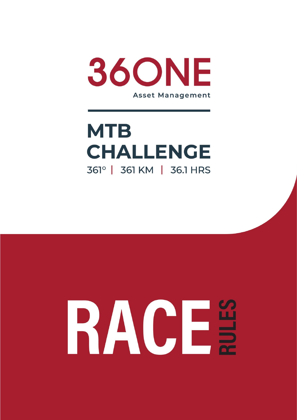

# **MTB CHALLENGE** 361° | 361 KM | 36.1 HRS

# RACE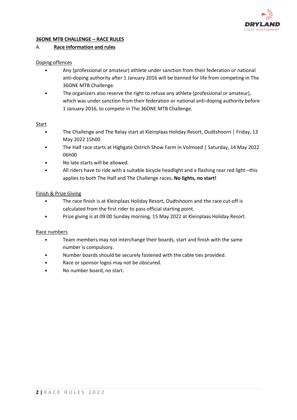

#### **36ONE MTB CHALLENGE – RACE RULES**

#### A. **Race information and rules**

#### Doping offences

- Any (professional or amateur) athlete under sanction from their federation or national anti-doping authority after 1 January 2016 will be banned for life from competing in The 36ONE MTB Challenge.
- The organizers also reserve the right to refuse any athlete (professional or amateur), which was under sanction from their federation or national anti-doping authority before 1 January 2016, to compete in The 36ONE MTB Challenge.

#### Start

- The Challenge and The Relay start at Kleinplaas Holiday Resort, Oudtshoorn | Friday, 13 May 2022 15h00
- The Half race starts at Highgate Ostrich Show Farm in Volmoed | Saturday, 14 May 2022 06h00
- No late starts will be allowed.
- All riders have to ride with a suitable bicycle headlight and a flashing rear red light –this applies to both The Half and The Challenge races**. No lights, no start!**

# Finish & Prize Giving

- The race finish is at Kleinplaas Holiday Resort, Oudtshoorn and the race cut-off is calculated from the first rider to pass official starting point.
- Prize giving is at 09:00 Sunday morning, 15 May 2022 at Kleinplaas Holiday Resort.

#### Race numbers

- Team members may not interchange their boards, start and finish with the same number is compulsory.
- Number boards should be securely fastened with the cable ties provided.
- Race or sponsor logos may not be obscured.
- No number board, no start.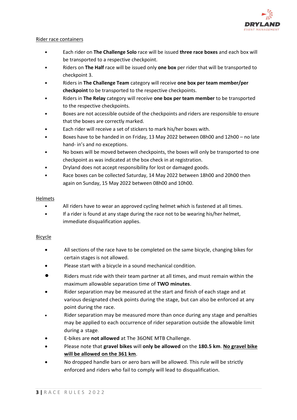

#### Rider race containers

- Each rider on **The Challenge Solo** race will be issued **three race boxes** and each box will be transported to a respective checkpoint.
- Riders on **The Half** race will be issued only **one box** per rider that will be transported to checkpoint 3.
- Riders in **The Challenge Team** category will receive **one box per team member/per checkpoint** to be transported to the respective checkpoints.
- Riders in **The Relay** category will receive **one box per team member** to be transported to the respective checkpoints.
- Boxes are not accessible outside of the checkpoints and riders are responsible to ensure that the boxes are correctly marked.
- Each rider will receive a set of stickers to mark his/her boxes with.
- Boxes have to be handed in on Friday, 13 May 2022 between 08h00 and 12h00 no late hand- in's and no exceptions.
- No boxes will be moved between checkpoints, the boxes will only be transported to one checkpoint as was indicated at the box check in at registration.
- Dryland does not accept responsibility for lost or damaged goods.
- Race boxes can be collected Saturday, 14 May 2022 between 18h00 and 20h00 then again on Sunday, 15 May 2022 between 08h00 and 10h00.

# Helmets

- All riders have to wear an approved cycling helmet which is fastened at all times.
- If a rider is found at any stage during the race not to be wearing his/her helmet, immediate disqualification applies.

#### **Bicycle**

- All sections of the race have to be completed on the same bicycle, changing bikes for certain stages is not allowed.
- Please start with a bicycle in a sound mechanical condition.
- Riders must ride with their team partner at all times, and must remain within the maximum allowable separation time of **TWO minutes**.
- Rider separation may be measured at the start and finish of each stage and at various designated check points during the stage, but can also be enforced at any point during the race.
- Rider separation may be measured more than once during any stage and penalties may be applied to each occurrence of rider separation outside the allowable limit during a stage.
- E-bikes are **not allowed** at The 36ONE MTB Challenge.
- Please note that **gravel bikes** will **only be allowed** on the **180.5 km**. **No gravel bike will be allowed on the 361 km**.
- No dropped handle bars or aero bars will be allowed. This rule will be strictly enforced and riders who fail to comply will lead to disqualification.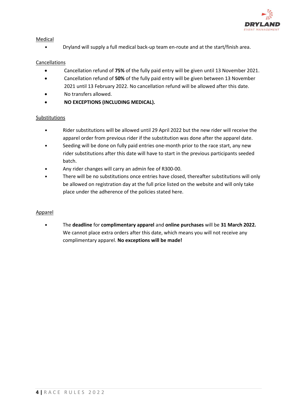

# Medical

• Dryland will supply a full medical back-up team en-route and at the start/finish area.

# **Cancellations**

- Cancellation refund of **75%** of the fully paid entry will be given until 13 November 2021.
- Cancellation refund of **50%** of the fully paid entry will be given between 13 November 2021 until 13 February 2022. No cancellation refund will be allowed after this date.
- No transfers allowed.
- **NO EXCEPTIONS (INCLUDING MEDICAL).**

# Substitutions

- Rider substitutions will be allowed until 29 April 2022 but the new rider will receive the apparel order from previous rider if the substitution was done after the apparel date.
- Seeding will be done on fully paid entries one-month prior to the race start, any new rider substitutions after this date will have to start in the previous participants seeded batch.
- Any rider changes will carry an admin fee of R300-00.
- There will be no substitutions once entries have closed, thereafter substitutions will only be allowed on registration day at the full price listed on the website and will only take place under the adherence of the policies stated here.

### Apparel

• The **deadline** for **complimentary apparel** and **online purchases** will be **31 March 2022.**  We cannot place extra orders after this date, which means you will not receive any complimentary apparel. **No exceptions will be made!**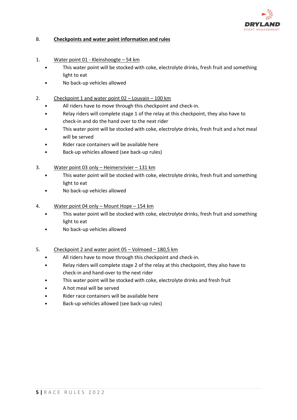

# B. **Checkpoints and water point information and rules**

- 1. Water point 01 Kleinshoogte 54 km
	- This water point will be stocked with coke, electrolyte drinks, fresh fruit and something light to eat
	- No back-up vehicles allowed
- 2. Checkpoint 1 and water point 02 Louvain 100 km
	- All riders have to move through this checkpoint and check-in.
	- Relay riders will complete stage 1 of the relay at this checkpoint, they also have to check-in and do the hand over to the next rider
	- This water point will be stocked with coke, electrolyte drinks, fresh fruit and a hot meal will be served
	- Rider race containers will be available here
	- Back-up vehicles allowed (see back-up rules)
- 3. Water point 03 only Heimersrivier 131 km
	- This water point will be stocked with coke, electrolyte drinks, fresh fruit and something light to eat
	- No back-up vehicles allowed
- 4. Water point 04 only Mount Hope 154 km
	- This water point will be stocked with coke, electrolyte drinks, fresh fruit and something light to eat
	- No back-up vehicles allowed
- 5. Checkpoint 2 and water point 05 Volmoed 180,5 km
	- All riders have to move through this checkpoint and check-in.
	- Relay riders will complete stage 2 of the relay at this checkpoint, they also have to check-in and hand-over to the next rider
	- This water point will be stocked with coke, electrolyte drinks and fresh fruit
	- A hot meal will be served
	- Rider race containers will be available here
	- Back-up vehicles allowed (see back-up rules)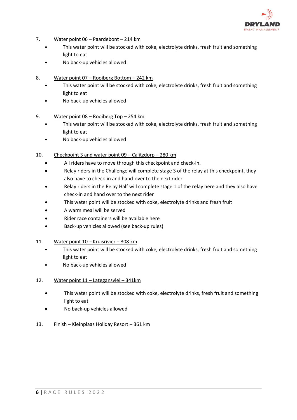

- 7. Water point 06 Paardebont 214 km
	- This water point will be stocked with coke, electrolyte drinks, fresh fruit and something light to eat
	- No back-up vehicles allowed
- 8. Water point 07 Rooiberg Bottom 242 km
	- This water point will be stocked with coke, electrolyte drinks, fresh fruit and something light to eat
	- No back-up vehicles allowed
- 9. Water point 08 Rooiberg Top 254 km
	- This water point will be stocked with coke, electrolyte drinks, fresh fruit and something light to eat
	- No back-up vehicles allowed
- 10. Checkpoint 3 and water point 09 Calitzdorp 280 km
	- All riders have to move through this checkpoint and check-in.
	- Relay riders in the Challenge will complete stage 3 of the relay at this checkpoint, they also have to check-in and hand-over to the next rider
	- Relay riders in the Relay Half will complete stage 1 of the relay here and they also have check-in and hand over to the next rider
	- This water point will be stocked with coke, electrolyte drinks and fresh fruit
	- A warm meal will be served
	- Rider race containers will be available here
	- Back-up vehicles allowed (see back-up rules)
- 11. Water point 10 Kruisrivier 308 km
	- This water point will be stocked with coke, electrolyte drinks, fresh fruit and something light to eat
	- No back-up vehicles allowed

#### 12. Water point 11 – Lategansvlei – 341km

- This water point will be stocked with coke, electrolyte drinks, fresh fruit and something light to eat
- No back-up vehicles allowed
- 13. Finish Kleinplaas Holiday Resort 361 km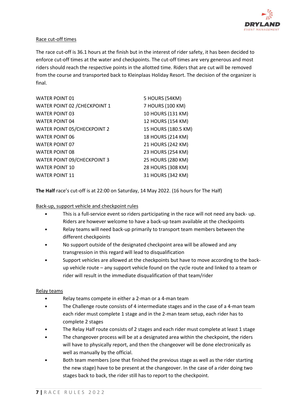

# Race cut-off times

The race cut-off is 36.1 hours at the finish but in the interest of rider safety, it has been decided to enforce cut-off times at the water and checkpoints. The cut-off times are very generous and most riders should reach the respective points in the allotted time. Riders that are cut will be removed from the course and transported back to Kleinplaas Holiday Resort. The decision of the organizer is final.

| <b>WATER POINT 01</b>              | 5 HOURS (54KM)      |
|------------------------------------|---------------------|
| WATER POINT 02 / CHECKPOINT 1      | 7 HOURS (100 KM)    |
| <b>WATER POINT 03</b>              | 10 HOURS (131 KM)   |
| <b>WATER POINT 04</b>              | 12 HOURS (154 KM)   |
| <b>WATER POINT 05/CHECKPOINT 2</b> | 15 HOURS (180.5 KM) |
| <b>WATER POINT 06</b>              | 18 HOURS (214 KM)   |
| <b>WATER POINT 07</b>              | 21 HOURS (242 KM)   |
| <b>WATER POINT 08</b>              | 23 HOURS (254 KM)   |
| WATER POINT 09/CHECKPOINT 3        | 25 HOURS (280 KM)   |
| <b>WATER POINT 10</b>              | 28 HOURS (308 KM)   |
| <b>WATER POINT 11</b>              | 31 HOURS (342 KM)   |

**The Half** race's cut-off is at 22:00 on Saturday, 14 May 2022. (16 hours for The Half)

#### Back-up, support vehicle and checkpoint rules

- This is a full-service event so riders participating in the race will not need any back- up. Riders are however welcome to have a back-up team available at the checkpoints
- Relay teams will need back-up primarily to transport team members between the different checkpoints
- No support outside of the designated checkpoint area will be allowed and any transgression in this regard will lead to disqualification
- Support vehicles are allowed at the checkpoints but have to move according to the backup vehicle route – any support vehicle found on the cycle route and linked to a team or rider will result in the immediate disqualification of that team/rider

#### Relay teams

- Relay teams compete in either a 2-man or a 4-man team
- The Challenge route consists of 4 intermediate stages and in the case of a 4-man team each rider must complete 1 stage and in the 2-man team setup, each rider has to complete 2 stages
- The Relay Half route consists of 2 stages and each rider must complete at least 1 stage
- The changeover process will be at a designated area within the checkpoint, the riders will have to physically report, and then the changeover will be done electronically as well as manually by the official.
- Both team members (one that finished the previous stage as well as the rider starting the new stage) have to be present at the changeover. In the case of a rider doing two stages back to back, the rider still has to report to the checkpoint.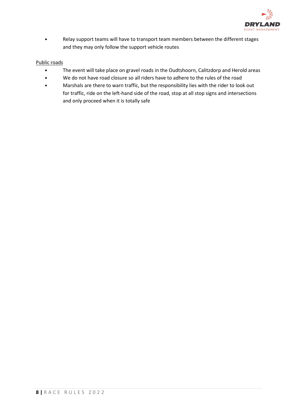

• Relay support teams will have to transport team members between the different stages and they may only follow the support vehicle routes

# Public roads

- The event will take place on gravel roads in the Oudtshoorn, Calitzdorp and Herold areas
- We do not have road closure so all riders have to adhere to the rules of the road
- Marshals are there to warn traffic, but the responsibility lies with the rider to look out for traffic, ride on the left-hand side of the road, stop at all stop signs and intersections and only proceed when it is totally safe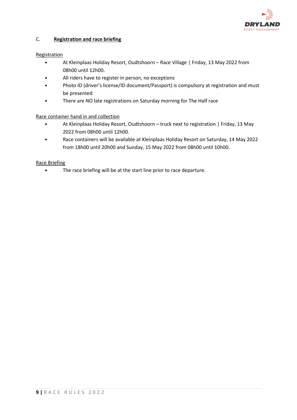

# C. **Registration and race briefing**

#### Registration

- At Kleinplaas Holiday Resort, Oudtshoorn Race Village | Friday, 13 May 2022 from 08h00 until 12h00.
- All riders have to register in person, no exceptions
- Photo ID (driver's license/ID document/Passport) is compulsory at registration and must be presented
- There are NO late registrations on Saturday morning for The Half race

# Race container hand in and collection

- At Kleinplaas Holiday Resort, Oudtshoorn truck next to registration | Friday, 13 May 2022 from 08h00 until 12h00.
- Race containers will be available at Kleinplaas Holiday Resort on Saturday, 14 May 2022 from 18h00 until 20h00 and Sunday, 15 May 2022 from 08h00 until 10h00.

#### Race Briefing

• The race briefing will be at the start line prior to race departure.